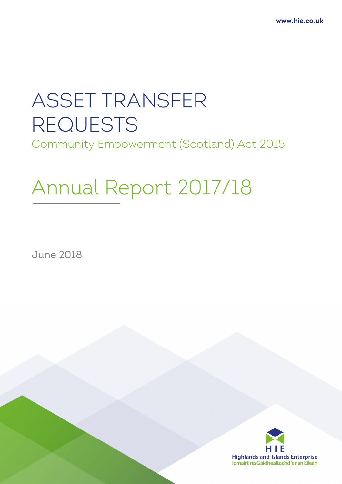# ASSET TRANSFER REQUESTS Community Empowerment (Scotland) Act 2015

# Annual Report 2017/18

June 2018

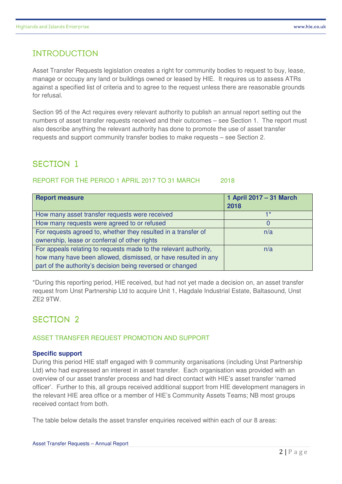## INTRODUCTION

Asset Transfer Requests legislation creates a right for community bodies to request to buy, lease, manage or occupy any land or buildings owned or leased by HIE. It requires us to assess ATRs against a specified list of criteria and to agree to the request unless there are reasonable grounds for refusal.

Section 95 of the Act requires every relevant authority to publish an annual report setting out the numbers of asset transfer requests received and their outcomes – see Section 1. The report must also describe anything the relevant authority has done to promote the use of asset transfer requests and support community transfer bodies to make requests – see Section 2.

# SECTION 1

#### REPORT FOR THE PERIOD 1 APRIL 2017 TO 31 MARCH 2018

| <b>Report measure</b>                                            | 1 April 2017 - 31 March<br>2018 |
|------------------------------------------------------------------|---------------------------------|
| How many asset transfer requests were received                   |                                 |
| How many requests were agreed to or refused                      |                                 |
| For requests agreed to, whether they resulted in a transfer of   | n/a                             |
| ownership, lease or conferral of other rights                    |                                 |
| For appeals relating to requests made to the relevant authority, | n/a                             |
| how many have been allowed, dismissed, or have resulted in any   |                                 |
| part of the authority's decision being reversed or changed       |                                 |

\*During this reporting period, HIE received, but had not yet made a decision on, an asset transfer request from Unst Partnership Ltd to acquire Unit 1, Hagdale Industrial Estate, Baltasound, Unst ZE2 9TW.

### SECTION 2

#### ASSET TRANSFER REQUEST PROMOTION AND SUPPORT

#### **Specific support**

During this period HIE staff engaged with 9 community organisations (including Unst Partnership Ltd) who had expressed an interest in asset transfer. Each organisation was provided with an overview of our asset transfer process and had direct contact with HIE's asset transfer 'named officer'. Further to this, all groups received additional support from HIE development managers in the relevant HIE area office or a member of HIE's Community Assets Teams; NB most groups received contact from both.

The table below details the asset transfer enquiries received within each of our 8 areas: